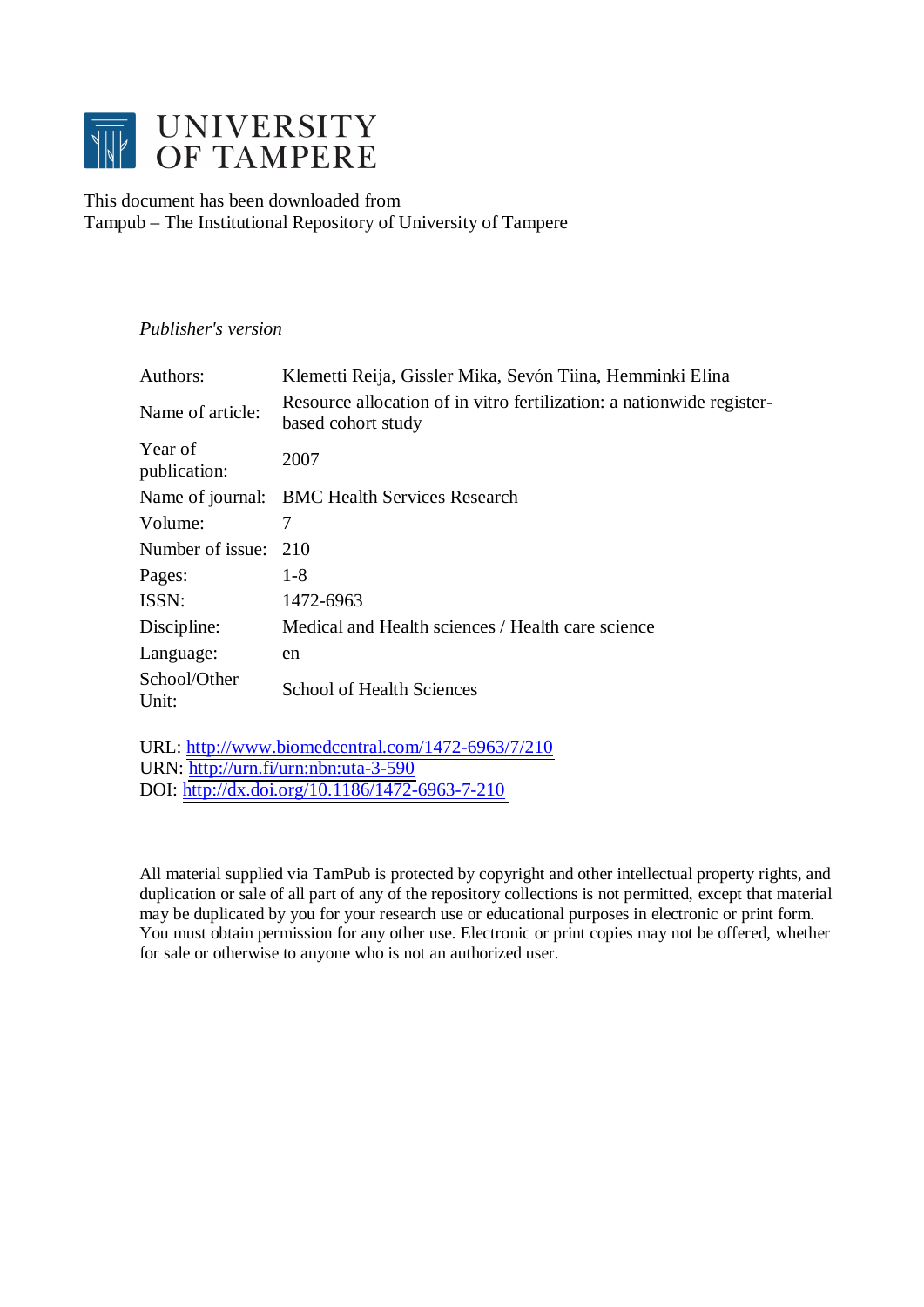

This document has been downloaded from Tampub – The Institutional Repository of University of Tampere

# *Publisher's version*

| Authors:                | Klemetti Reija, Gissler Mika, Sevón Tiina, Hemminki Elina                                   |
|-------------------------|---------------------------------------------------------------------------------------------|
| Name of article:        | Resource allocation of in vitro fertilization: a nationwide register-<br>based cohort study |
| Year of<br>publication: | 2007                                                                                        |
|                         | Name of journal: BMC Health Services Research                                               |
| Volume:                 | 7                                                                                           |
| Number of issue:        | 210                                                                                         |
| Pages:                  | $1-8$                                                                                       |
| ISSN:                   | 1472-6963                                                                                   |
| Discipline:             | Medical and Health sciences / Health care science                                           |
| Language:               | en                                                                                          |
| School/Other<br>Unit:   | <b>School of Health Sciences</b>                                                            |

URL: <http://www.biomedcentral.com/1472-6963/7/210> URN: <http://urn.fi/urn:nbn:uta-3-590> DOI: <http://dx.doi.org/10.1186/1472-6963-7-210>

All material supplied via TamPub is protected by copyright and other intellectual property rights, and duplication or sale of all part of any of the repository collections is not permitted, except that material may be duplicated by you for your research use or educational purposes in electronic or print form. You must obtain permission for any other use. Electronic or print copies may not be offered, whether for sale or otherwise to anyone who is not an authorized user.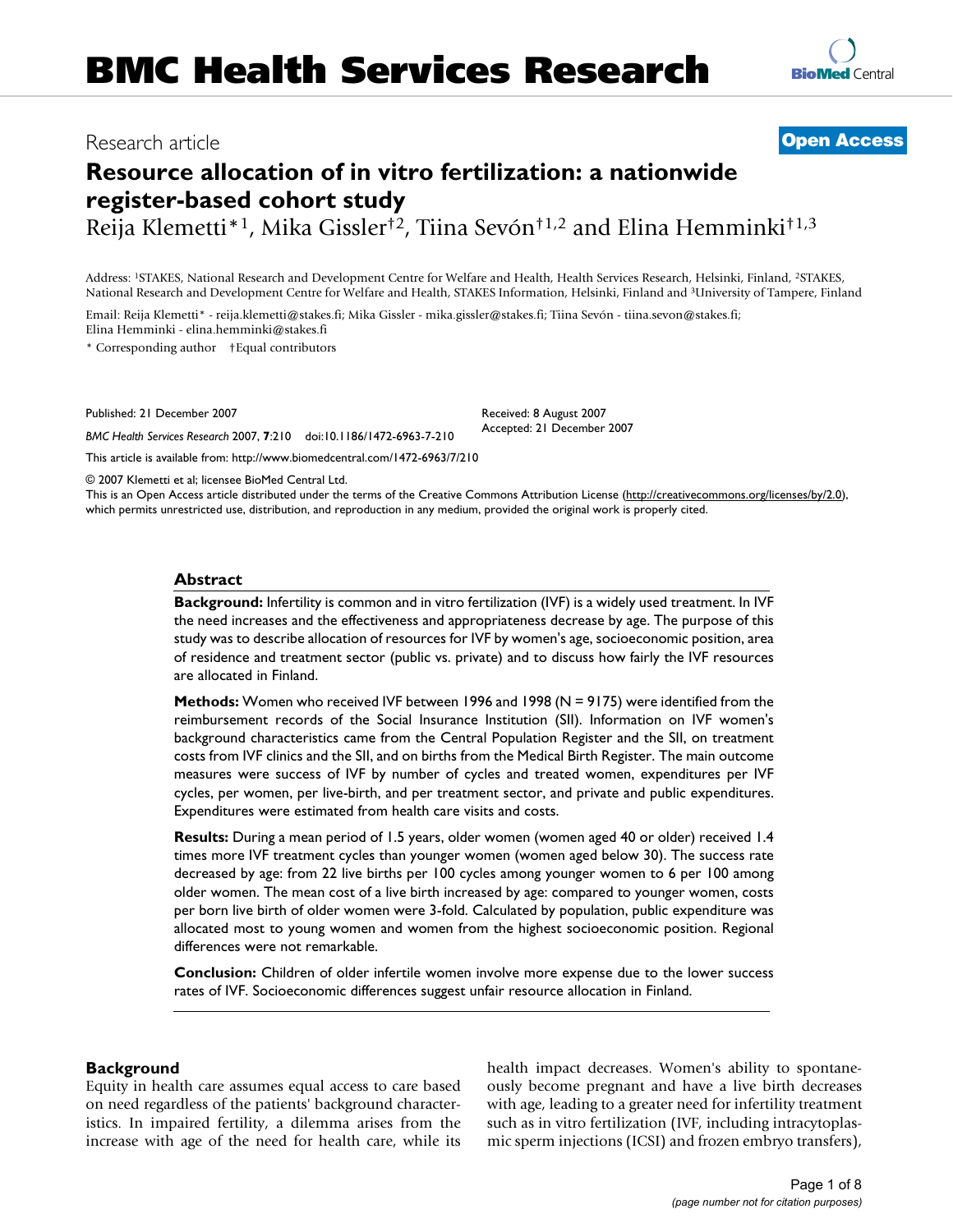# **Resource allocation of in vitro fertilization: a nationwide register-based cohort study**

Reija Klemetti\*1, Mika Gissler†2, Tiina Sevón†1,2 and Elina Hemminki†1,3

Address: 1STAKES, National Research and Development Centre for Welfare and Health, Health Services Research, Helsinki, Finland, 2STAKES, National Research and Development Centre for Welfare and Health, STAKES Information, Helsinki, Finland and 3University of Tampere, Finland

Email: Reija Klemetti\* - reija.klemetti@stakes.fi; Mika Gissler - mika.gissler@stakes.fi; Tiina Sevón - tiina.sevon@stakes.fi; Elina Hemminki - elina.hemminki@stakes.fi

\* Corresponding author †Equal contributors

Published: 21 December 2007

*BMC Health Services Research* 2007, **7**:210 doi:10.1186/1472-6963-7-210

[This article is available from: http://www.biomedcentral.com/1472-6963/7/210](http://www.biomedcentral.com/1472-6963/7/210)

© 2007 Klemetti et al; licensee BioMed Central Ltd.

This is an Open Access article distributed under the terms of the Creative Commons Attribution License [\(http://creativecommons.org/licenses/by/2.0\)](http://creativecommons.org/licenses/by/2.0), which permits unrestricted use, distribution, and reproduction in any medium, provided the original work is properly cited.

#### **Abstract**

**Background:** Infertility is common and in vitro fertilization (IVF) is a widely used treatment. In IVF the need increases and the effectiveness and appropriateness decrease by age. The purpose of this study was to describe allocation of resources for IVF by women's age, socioeconomic position, area of residence and treatment sector (public vs. private) and to discuss how fairly the IVF resources are allocated in Finland.

**Methods:** Women who received IVF between 1996 and 1998 (N = 9175) were identified from the reimbursement records of the Social Insurance Institution (SII). Information on IVF women's background characteristics came from the Central Population Register and the SII, on treatment costs from IVF clinics and the SII, and on births from the Medical Birth Register. The main outcome measures were success of IVF by number of cycles and treated women, expenditures per IVF cycles, per women, per live-birth, and per treatment sector, and private and public expenditures. Expenditures were estimated from health care visits and costs.

**Results:** During a mean period of 1.5 years, older women (women aged 40 or older) received 1.4 times more IVF treatment cycles than younger women (women aged below 30). The success rate decreased by age: from 22 live births per 100 cycles among younger women to 6 per 100 among older women. The mean cost of a live birth increased by age: compared to younger women, costs per born live birth of older women were 3-fold. Calculated by population, public expenditure was allocated most to young women and women from the highest socioeconomic position. Regional differences were not remarkable.

**Conclusion:** Children of older infertile women involve more expense due to the lower success rates of IVF. Socioeconomic differences suggest unfair resource allocation in Finland.

#### **Background**

Equity in health care assumes equal access to care based on need regardless of the patients' background characteristics. In impaired fertility, a dilemma arises from the increase with age of the need for health care, while its health impact decreases. Women's ability to spontaneously become pregnant and have a live birth decreases with age, leading to a greater need for infertility treatment such as in vitro fertilization (IVF, including intracytoplasmic sperm injections (ICSI) and frozen embryo transfers),



Received: 8 August 2007 Accepted: 21 December 2007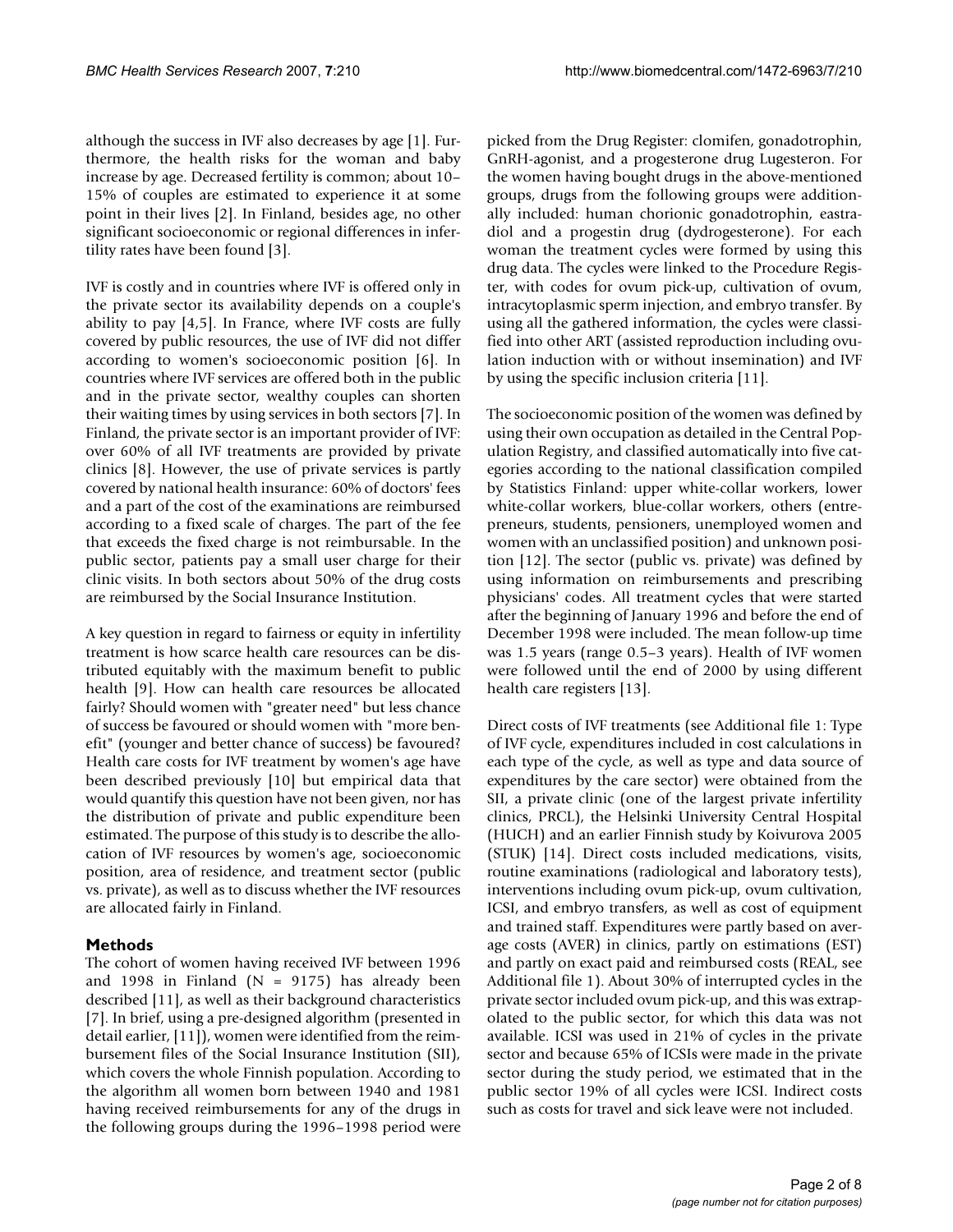although the success in IVF also decreases by age [1]. Furthermore, the health risks for the woman and baby increase by age. Decreased fertility is common; about 10– 15% of couples are estimated to experience it at some point in their lives [2]. In Finland, besides age, no other significant socioeconomic or regional differences in infertility rates have been found [3].

IVF is costly and in countries where IVF is offered only in the private sector its availability depends on a couple's ability to pay [4,5]. In France, where IVF costs are fully covered by public resources, the use of IVF did not differ according to women's socioeconomic position [6]. In countries where IVF services are offered both in the public and in the private sector, wealthy couples can shorten their waiting times by using services in both sectors [7]. In Finland, the private sector is an important provider of IVF: over 60% of all IVF treatments are provided by private clinics [8]. However, the use of private services is partly covered by national health insurance: 60% of doctors' fees and a part of the cost of the examinations are reimbursed according to a fixed scale of charges. The part of the fee that exceeds the fixed charge is not reimbursable. In the public sector, patients pay a small user charge for their clinic visits. In both sectors about 50% of the drug costs are reimbursed by the Social Insurance Institution.

A key question in regard to fairness or equity in infertility treatment is how scarce health care resources can be distributed equitably with the maximum benefit to public health [9]. How can health care resources be allocated fairly? Should women with "greater need" but less chance of success be favoured or should women with "more benefit" (younger and better chance of success) be favoured? Health care costs for IVF treatment by women's age have been described previously [10] but empirical data that would quantify this question have not been given, nor has the distribution of private and public expenditure been estimated. The purpose of this study is to describe the allocation of IVF resources by women's age, socioeconomic position, area of residence, and treatment sector (public vs. private), as well as to discuss whether the IVF resources are allocated fairly in Finland.

### **Methods**

The cohort of women having received IVF between 1996 and 1998 in Finland ( $N = 9175$ ) has already been described [11], as well as their background characteristics [7]. In brief, using a pre-designed algorithm (presented in detail earlier, [11]), women were identified from the reimbursement files of the Social Insurance Institution (SII), which covers the whole Finnish population. According to the algorithm all women born between 1940 and 1981 having received reimbursements for any of the drugs in the following groups during the 1996–1998 period were

picked from the Drug Register: clomifen, gonadotrophin, GnRH-agonist, and a progesterone drug Lugesteron. For the women having bought drugs in the above-mentioned groups, drugs from the following groups were additionally included: human chorionic gonadotrophin, eastradiol and a progestin drug (dydrogesterone). For each woman the treatment cycles were formed by using this drug data. The cycles were linked to the Procedure Register, with codes for ovum pick-up, cultivation of ovum, intracytoplasmic sperm injection, and embryo transfer. By using all the gathered information, the cycles were classified into other ART (assisted reproduction including ovulation induction with or without insemination) and IVF by using the specific inclusion criteria [11].

The socioeconomic position of the women was defined by using their own occupation as detailed in the Central Population Registry, and classified automatically into five categories according to the national classification compiled by Statistics Finland: upper white-collar workers, lower white-collar workers, blue-collar workers, others (entrepreneurs, students, pensioners, unemployed women and women with an unclassified position) and unknown position [12]. The sector (public vs. private) was defined by using information on reimbursements and prescribing physicians' codes. All treatment cycles that were started after the beginning of January 1996 and before the end of December 1998 were included. The mean follow-up time was 1.5 years (range 0.5–3 years). Health of IVF women were followed until the end of 2000 by using different health care registers [13].

Direct costs of IVF treatments (see Additional file 1: Type of IVF cycle, expenditures included in cost calculations in each type of the cycle, as well as type and data source of expenditures by the care sector) were obtained from the SII, a private clinic (one of the largest private infertility clinics, PRCL), the Helsinki University Central Hospital (HUCH) and an earlier Finnish study by Koivurova 2005 (STUK) [14]. Direct costs included medications, visits, routine examinations (radiological and laboratory tests), interventions including ovum pick-up, ovum cultivation, ICSI, and embryo transfers, as well as cost of equipment and trained staff. Expenditures were partly based on average costs (AVER) in clinics, partly on estimations (EST) and partly on exact paid and reimbursed costs (REAL, see Additional file 1). About 30% of interrupted cycles in the private sector included ovum pick-up, and this was extrapolated to the public sector, for which this data was not available. ICSI was used in 21% of cycles in the private sector and because 65% of ICSIs were made in the private sector during the study period, we estimated that in the public sector 19% of all cycles were ICSI. Indirect costs such as costs for travel and sick leave were not included.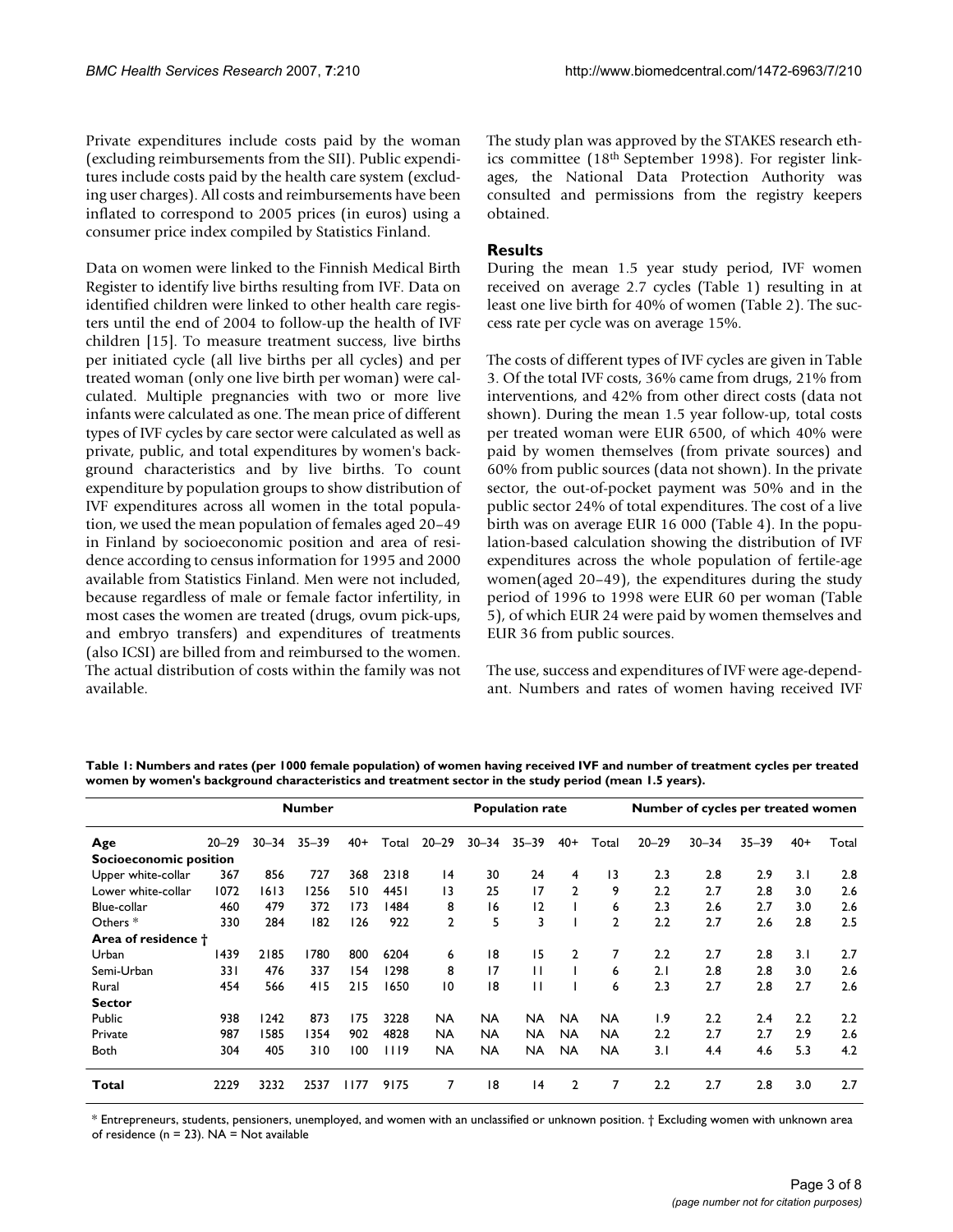Private expenditures include costs paid by the woman (excluding reimbursements from the SII). Public expenditures include costs paid by the health care system (excluding user charges). All costs and reimbursements have been inflated to correspond to 2005 prices (in euros) using a consumer price index compiled by Statistics Finland.

Data on women were linked to the Finnish Medical Birth Register to identify live births resulting from IVF. Data on identified children were linked to other health care registers until the end of 2004 to follow-up the health of IVF children [15]. To measure treatment success, live births per initiated cycle (all live births per all cycles) and per treated woman (only one live birth per woman) were calculated. Multiple pregnancies with two or more live infants were calculated as one. The mean price of different types of IVF cycles by care sector were calculated as well as private, public, and total expenditures by women's background characteristics and by live births. To count expenditure by population groups to show distribution of IVF expenditures across all women in the total population, we used the mean population of females aged 20–49 in Finland by socioeconomic position and area of residence according to census information for 1995 and 2000 available from Statistics Finland. Men were not included, because regardless of male or female factor infertility, in most cases the women are treated (drugs, ovum pick-ups, and embryo transfers) and expenditures of treatments (also ICSI) are billed from and reimbursed to the women. The actual distribution of costs within the family was not available.

The study plan was approved by the STAKES research ethics committee (18th September 1998). For register linkages, the National Data Protection Authority was consulted and permissions from the registry keepers obtained.

# **Results**

During the mean 1.5 year study period, IVF women received on average 2.7 cycles (Table 1) resulting in at least one live birth for 40% of women (Table 2). The success rate per cycle was on average 15%.

The costs of different types of IVF cycles are given in Table 3. Of the total IVF costs, 36% came from drugs, 21% from interventions, and 42% from other direct costs (data not shown). During the mean 1.5 year follow-up, total costs per treated woman were EUR 6500, of which 40% were paid by women themselves (from private sources) and 60% from public sources (data not shown). In the private sector, the out-of-pocket payment was 50% and in the public sector 24% of total expenditures. The cost of a live birth was on average EUR 16 000 (Table 4). In the population-based calculation showing the distribution of IVF expenditures across the whole population of fertile-age women(aged 20–49), the expenditures during the study period of 1996 to 1998 were EUR 60 per woman (Table 5), of which EUR 24 were paid by women themselves and EUR 36 from public sources.

The use, success and expenditures of IVF were age-dependant. Numbers and rates of women having received IVF

| <b>Number</b>                 |           |           |           |       |       |                |           | <b>Population rate</b> |                |              | Number of cycles per treated women |           |           |       |       |
|-------------------------------|-----------|-----------|-----------|-------|-------|----------------|-----------|------------------------|----------------|--------------|------------------------------------|-----------|-----------|-------|-------|
| Age                           | $20 - 29$ | $30 - 34$ | $35 - 39$ | $40+$ | Total | $20 - 29$      | $30 - 34$ | $35 - 39$              | $40+$          | Total        | $20 - 29$                          | $30 - 34$ | $35 - 39$ | $40+$ | Total |
| <b>Socioeconomic position</b> |           |           |           |       |       |                |           |                        |                |              |                                    |           |           |       |       |
| Upper white-collar            | 367       | 856       | 727       | 368   | 2318  | 4              | 30        | 24                     | 4              | 13           | 2.3                                | 2.8       | 2.9       | 3.1   | 2.8   |
| Lower white-collar            | 1072      | 1613      | 1256      | 510   | 4451  | 13             | 25        | 17                     | $\overline{2}$ | 9            | 2.2                                | 2.7       | 2.8       | 3.0   | 2.6   |
| Blue-collar                   | 460       | 479       | 372       | 173   | 1484  | 8              | 16        | 12                     |                | 6            | 2.3                                | 2.6       | 2.7       | 3.0   | 2.6   |
| Others $*$                    | 330       | 284       | 182       | 126   | 922   | $\overline{2}$ | 5         | 3                      |                | $\mathbf{2}$ | 2.2                                | 2.7       | 2.6       | 2.8   | 2.5   |
| Area of residence †           |           |           |           |       |       |                |           |                        |                |              |                                    |           |           |       |       |
| Urban                         | 1439      | 2185      | 1780      | 800   | 6204  | 6              | 18        | 15                     | 2              |              | $2.2\phantom{0}$                   | 2.7       | 2.8       | 3.1   | 2.7   |
| Semi-Urban                    | 331       | 476       | 337       | 154   | 1298  | 8              | 17        | $\mathbf{H}$           |                | 6            | 2.1                                | 2.8       | 2.8       | 3.0   | 2.6   |
| Rural                         | 454       | 566       | 415       | 215   | 1650  | 10             | 18        | $\mathsf{L}$           |                | 6            | 2.3                                | 2.7       | 2.8       | 2.7   | 2.6   |
| <b>Sector</b>                 |           |           |           |       |       |                |           |                        |                |              |                                    |           |           |       |       |
| Public                        | 938       | 1242      | 873       | 175   | 3228  | NA             | <b>NA</b> | <b>NA</b>              | <b>NA</b>      | <b>NA</b>    | 1.9                                | 2.2       | 2.4       | 2.2   | 2.2   |
| Private                       | 987       | 1585      | 1354      | 902   | 4828  | <b>NA</b>      | <b>NA</b> | NA.                    | <b>NA</b>      | <b>NA</b>    | $2.2\phantom{0}$                   | 2.7       | 2.7       | 2.9   | 2.6   |
| <b>Both</b>                   | 304       | 405       | 310       | 100   | 1119  | NA             | <b>NA</b> | NA.                    | <b>NA</b>      | NA           | 3.1                                | 4.4       | 4.6       | 5.3   | 4.2   |
| Total                         | 2229      | 3232      | 2537      | 1177  | 9175  | 7              | 18        | $\overline{14}$        | 2              |              | $2.2\phantom{0}$                   | 2.7       | 2.8       | 3.0   | 2.7   |

**Table 1: Numbers and rates (per 1000 female population) of women having received IVF and number of treatment cycles per treated women by women's background characteristics and treatment sector in the study period (mean 1.5 years).**

\* Entrepreneurs, students, pensioners, unemployed, and women with an unclassified or unknown position. † Excluding women with unknown area of residence ( $n = 23$ ). NA = Not available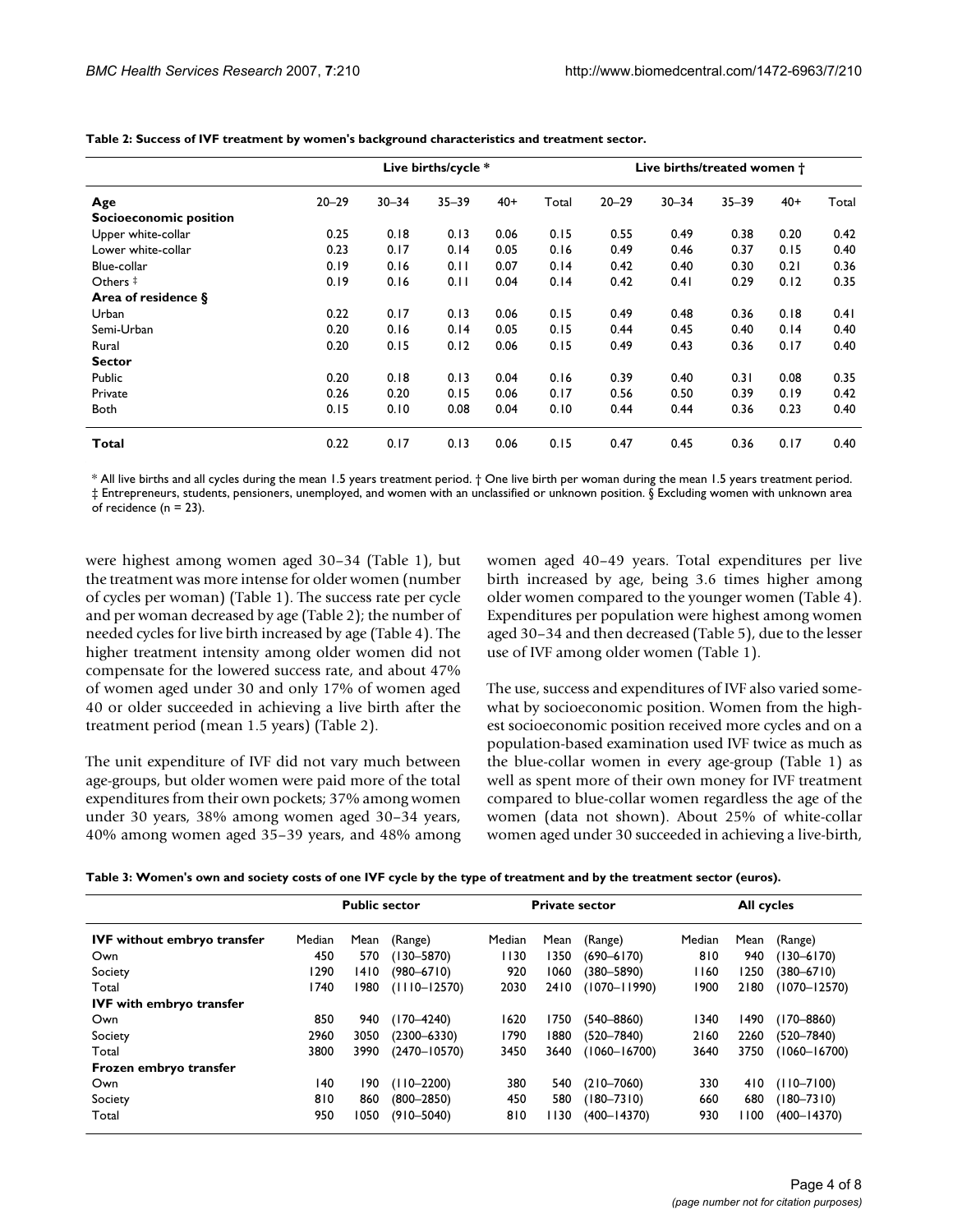|                        |           |           | Live births/cycle * |       |       | Live births/treated women t |           |           |       |       |  |
|------------------------|-----------|-----------|---------------------|-------|-------|-----------------------------|-----------|-----------|-------|-------|--|
| Age                    | $20 - 29$ | $30 - 34$ | $35 - 39$           | $40+$ | Total | $20 - 29$                   | $30 - 34$ | $35 - 39$ | $40+$ | Total |  |
| Socioeconomic position |           |           |                     |       |       |                             |           |           |       |       |  |
| Upper white-collar     | 0.25      | 0.18      | 0.13                | 0.06  | 0.15  | 0.55                        | 0.49      | 0.38      | 0.20  | 0.42  |  |
| Lower white-collar     | 0.23      | 0.17      | 0.14                | 0.05  | 0.16  | 0.49                        | 0.46      | 0.37      | 0.15  | 0.40  |  |
| Blue-collar            | 0.19      | 0.16      | 0.11                | 0.07  | 0.14  | 0.42                        | 0.40      | 0.30      | 0.21  | 0.36  |  |
| Others ‡               | 0.19      | 0.16      | 0.11                | 0.04  | 0.14  | 0.42                        | 0.41      | 0.29      | 0.12  | 0.35  |  |
| Area of residence §    |           |           |                     |       |       |                             |           |           |       |       |  |
| Urban                  | 0.22      | 0.17      | 0.13                | 0.06  | 0.15  | 0.49                        | 0.48      | 0.36      | 0.18  | 0.41  |  |
| Semi-Urban             | 0.20      | 0.16      | 0.14                | 0.05  | 0.15  | 0.44                        | 0.45      | 0.40      | 0.14  | 0.40  |  |
| Rural                  | 0.20      | 0.15      | 0.12                | 0.06  | 0.15  | 0.49                        | 0.43      | 0.36      | 0.17  | 0.40  |  |
| <b>Sector</b>          |           |           |                     |       |       |                             |           |           |       |       |  |
| Public                 | 0.20      | 0.18      | 0.13                | 0.04  | 0.16  | 0.39                        | 0.40      | 0.31      | 0.08  | 0.35  |  |
| Private                | 0.26      | 0.20      | 0.15                | 0.06  | 0.17  | 0.56                        | 0.50      | 0.39      | 0.19  | 0.42  |  |
| <b>Both</b>            | 0.15      | 0.10      | 0.08                | 0.04  | 0.10  | 0.44                        | 0.44      | 0.36      | 0.23  | 0.40  |  |
| Total                  | 0.22      | 0.17      | 0.13                | 0.06  | 0.15  | 0.47                        | 0.45      | 0.36      | 0.17  | 0.40  |  |

**Table 2: Success of IVF treatment by women's background characteristics and treatment sector.**

\* All live births and all cycles during the mean 1.5 years treatment period. † One live birth per woman during the mean 1.5 years treatment period. ‡ Entrepreneurs, students, pensioners, unemployed, and women with an unclassified or unknown position. § Excluding women with unknown area of recidence ( $n = 23$ ).

were highest among women aged 30–34 (Table 1), but the treatment was more intense for older women (number of cycles per woman) (Table 1). The success rate per cycle and per woman decreased by age (Table 2); the number of needed cycles for live birth increased by age (Table 4). The higher treatment intensity among older women did not compensate for the lowered success rate, and about 47% of women aged under 30 and only 17% of women aged 40 or older succeeded in achieving a live birth after the treatment period (mean 1.5 years) (Table 2).

The unit expenditure of IVF did not vary much between age-groups, but older women were paid more of the total expenditures from their own pockets; 37% among women under 30 years, 38% among women aged 30–34 years, 40% among women aged 35–39 years, and 48% among women aged 40–49 years. Total expenditures per live birth increased by age, being 3.6 times higher among older women compared to the younger women (Table 4). Expenditures per population were highest among women aged 30–34 and then decreased (Table 5), due to the lesser use of IVF among older women (Table 1).

The use, success and expenditures of IVF also varied somewhat by socioeconomic position. Women from the highest socioeconomic position received more cycles and on a population-based examination used IVF twice as much as the blue-collar women in every age-group (Table 1) as well as spent more of their own money for IVF treatment compared to blue-collar women regardless the age of the women (data not shown). About 25% of white-collar women aged under 30 succeeded in achieving a live-birth,

| Table 3: Women's own and society costs of one IVF cycle by the type of treatment and by the treatment sector (euros). |  |  |
|-----------------------------------------------------------------------------------------------------------------------|--|--|
|                                                                                                                       |  |  |

|                                    |        | <b>Public sector</b> |                  | <b>Private sector</b> |        |                  | All cycles |      |                  |
|------------------------------------|--------|----------------------|------------------|-----------------------|--------|------------------|------------|------|------------------|
| <b>IVF</b> without embryo transfer | Median | Mean                 | (Range)          | Median                | Mean   | (Range)          | Median     | Mean | (Range)          |
| Own                                | 450    | 570                  | $(130 - 5870)$   | 1130                  | 1350   | $(690 - 6170)$   | 810        | 940  | $(130 - 6170)$   |
| Society                            | 1290   | 1410                 | $(980 - 6710)$   | 920                   | 1060   | $(380 - 5890)$   | 1160       | 1250 | $(380 - 6710)$   |
| Total                              | 1740   | 1980                 | $(1110 - 12570)$ | 2030                  | 2410   | $(1070 - 11990)$ | 1900       | 2180 | $(1070 - 12570)$ |
| <b>IVF</b> with embryo transfer    |        |                      |                  |                       |        |                  |            |      |                  |
| Own                                | 850    | 940                  | $(170 - 4240)$   | 1620                  | 1750   | $(540 - 8860)$   | 1340       | 1490 | $(170 - 8860)$   |
| Society                            | 2960   | 3050                 | $(2300 - 6330)$  | 1790                  | 1880   | $(520 - 7840)$   | 2160       | 2260 | $(520 - 7840)$   |
| Total                              | 3800   | 3990                 | $(2470 - 10570)$ | 3450                  | 3640   | $(1060 - 16700)$ | 3640       | 3750 | $(1060 - 16700)$ |
| Frozen embryo transfer             |        |                      |                  |                       |        |                  |            |      |                  |
| Own                                | 140    | 190                  | $(110 - 2200)$   | 380                   | 540    | $(210 - 7060)$   | 330        | 410  | $(110 - 7100)$   |
| Society                            | 810    | 860                  | $(800 - 2850)$   | 450                   | 580    | $(180 - 7310)$   | 660        | 680  | $(180 - 7310)$   |
| Total                              | 950    | 1050                 | $(910 - 5040)$   | 810                   | l I 30 | $(400 - 14370)$  | 930        | 100  | $(400 - 14370)$  |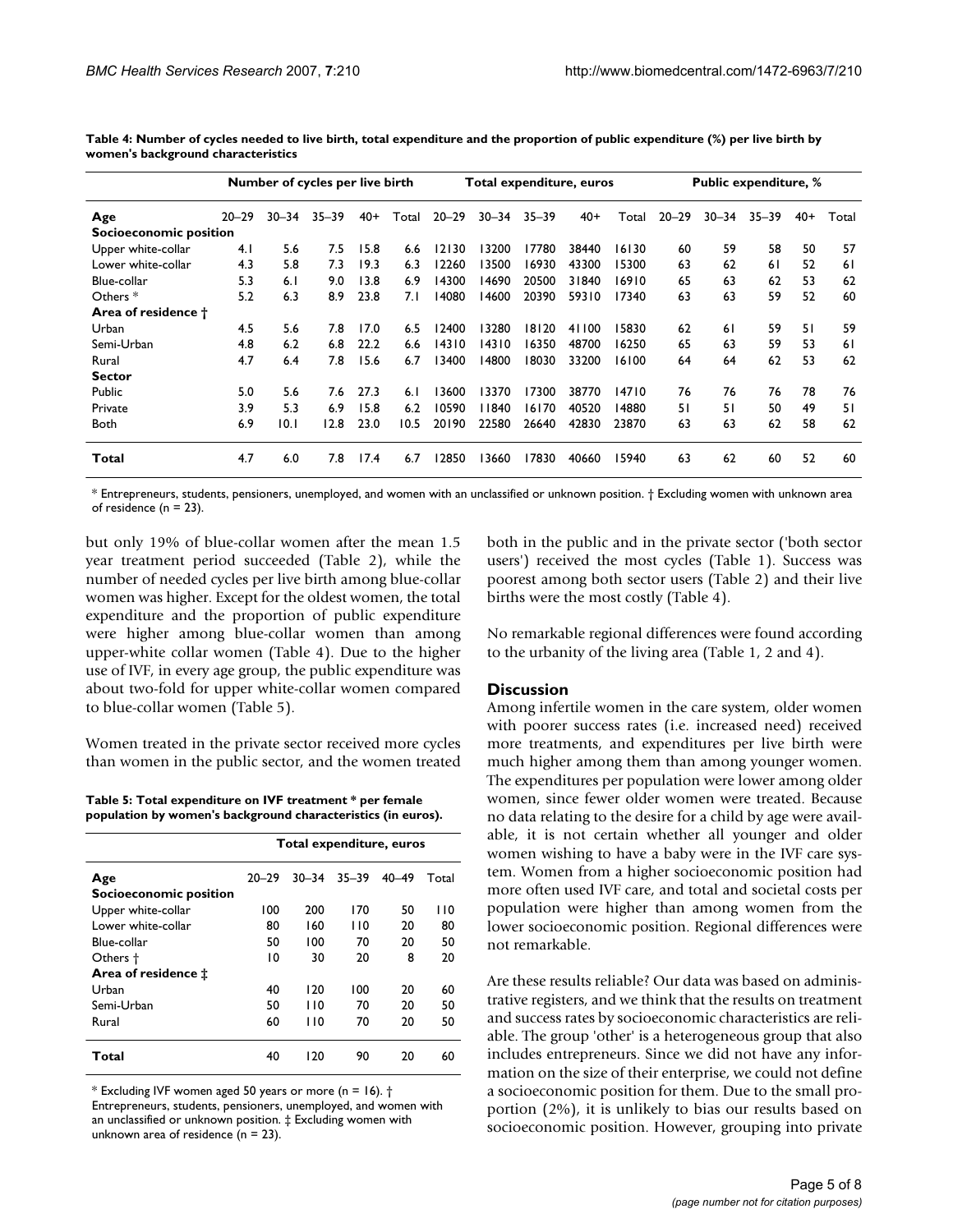| Number of cycles per live birth |           |           |           |       | <b>Public expenditure, %</b><br>Total expenditure, euros |           |           |           |       |       |           |           |           |       |       |
|---------------------------------|-----------|-----------|-----------|-------|----------------------------------------------------------|-----------|-----------|-----------|-------|-------|-----------|-----------|-----------|-------|-------|
| Age                             | $20 - 29$ | $30 - 34$ | $35 - 39$ | $40+$ | Total                                                    | $20 - 29$ | $30 - 34$ | $35 - 39$ | $40+$ | Total | $20 - 29$ | $30 - 34$ | $35 - 39$ | $40+$ | Total |
| Socioeconomic position          |           |           |           |       |                                                          |           |           |           |       |       |           |           |           |       |       |
| Upper white-collar              | 4.1       | 5.6       | 7.5       | 15.8  | 6.6                                                      | 12130     | 13200     | 17780     | 38440 | 16130 | 60        | 59        | 58        | 50    | 57    |
| Lower white-collar              | 4.3       | 5.8       | 7.3       | 19.3  | 6.3                                                      | 12260     | 13500     | 16930     | 43300 | 15300 | 63        | 62        | 61        | 52    | 61    |
| Blue-collar                     | 5.3       | 6.1       | 9.0       | 13.8  | 6.9                                                      | 14300     | 14690     | 20500     | 31840 | 16910 | 65        | 63        | 62        | 53    | 62    |
| Others <sup>*</sup>             | 5.2       | 6.3       | 8.9       | 23.8  | 7. I                                                     | 14080     | 14600     | 20390     | 59310 | 17340 | 63        | 63        | 59        | 52    | 60    |
| Area of residence †             |           |           |           |       |                                                          |           |           |           |       |       |           |           |           |       |       |
| Urban                           | 4.5       | 5.6       | 7.8       | 17.0  | 6.5                                                      | 12400     | 13280     | 18120     | 41100 | 15830 | 62        | 61        | 59        | 51    | 59    |
| Semi-Urban                      | 4.8       | 6.2       | 6.8       | 22.2  | 6.6                                                      | 14310     | 14310     | 16350     | 48700 | 16250 | 65        | 63        | 59        | 53    | 61    |
| Rural                           | 4.7       | 6.4       | 7.8       | 15.6  | 6.7                                                      | 13400     | 14800     | 18030     | 33200 | 16100 | 64        | 64        | 62        | 53    | 62    |
| <b>Sector</b>                   |           |           |           |       |                                                          |           |           |           |       |       |           |           |           |       |       |
| Public                          | 5.0       | 5.6       | 7.6       | 27.3  | 6.1                                                      | 13600     | 13370     | 17300     | 38770 | 14710 | 76        | 76        | 76        | 78    | 76    |
| Private                         | 3.9       | 5.3       | 6.9       | 15.8  | 6.2                                                      | 10590     | 11840     | 16170     | 40520 | 14880 | 51        | 51        | 50        | 49    | 51    |
| <b>Both</b>                     | 6.9       | 10.1      | 12.8      | 23.0  | 10.5                                                     | 20190     | 22580     | 26640     | 42830 | 23870 | 63        | 63        | 62        | 58    | 62    |
| Total                           | 4.7       | 6.0       | 7.8       | 17.4  | 6.7                                                      | 12850     | 13660     | 17830     | 40660 | 15940 | 63        | 62        | 60        | 52    | 60    |

**Table 4: Number of cycles needed to live birth, total expenditure and the proportion of public expenditure (%) per live birth by women's background characteristics**

\* Entrepreneurs, students, pensioners, unemployed, and women with an unclassified or unknown position. † Excluding women with unknown area of residence ( $n = 23$ ).

but only 19% of blue-collar women after the mean 1.5 year treatment period succeeded (Table 2), while the number of needed cycles per live birth among blue-collar women was higher. Except for the oldest women, the total expenditure and the proportion of public expenditure were higher among blue-collar women than among upper-white collar women (Table 4). Due to the higher use of IVF, in every age group, the public expenditure was about two-fold for upper white-collar women compared to blue-collar women (Table 5).

Women treated in the private sector received more cycles than women in the public sector, and the women treated

**Table 5: Total expenditure on IVF treatment \* per female population by women's background characteristics (in euros).**

|                               | Total expenditure, euros |           |           |           |       |  |  |  |  |
|-------------------------------|--------------------------|-----------|-----------|-----------|-------|--|--|--|--|
| Age                           | $20 - 29$                | $30 - 34$ | $35 - 39$ | $40 - 49$ | Total |  |  |  |  |
| <b>Socioeconomic position</b> |                          |           |           |           |       |  |  |  |  |
| Upper white-collar            | 100                      | 200       | 170       | 50        | l 10  |  |  |  |  |
| Lower white-collar            | 80                       | 160       | 110       | 20        | 80    |  |  |  |  |
| Blue-collar                   | 50                       | 100       | 70        | 20        | 50    |  |  |  |  |
| Others +                      | 10                       | 30        | 20        | 8         | 20    |  |  |  |  |
| Area of residence ±           |                          |           |           |           |       |  |  |  |  |
| Urban                         | 40                       | 120       | 100       | 20        | 60    |  |  |  |  |
| Semi-Urban                    | 50                       | 110       | 70        | 20        | 50    |  |  |  |  |
| Rural                         | 60                       | 110       | 70        | 20        | 50    |  |  |  |  |
| Total                         | 40                       | 120       | 90        | 20        | 60    |  |  |  |  |

\* Excluding IVF women aged 50 years or more (n = 16).  $\dagger$ Entrepreneurs, students, pensioners, unemployed, and women with an unclassified or unknown position. ‡ Excluding women with unknown area of residence  $(n = 23)$ .

both in the public and in the private sector ('both sector users') received the most cycles (Table 1). Success was poorest among both sector users (Table 2) and their live births were the most costly (Table 4).

No remarkable regional differences were found according to the urbanity of the living area (Table 1, 2 and 4).

#### **Discussion**

Among infertile women in the care system, older women with poorer success rates (i.e. increased need) received more treatments, and expenditures per live birth were much higher among them than among younger women. The expenditures per population were lower among older women, since fewer older women were treated. Because no data relating to the desire for a child by age were available, it is not certain whether all younger and older women wishing to have a baby were in the IVF care system. Women from a higher socioeconomic position had more often used IVF care, and total and societal costs per population were higher than among women from the lower socioeconomic position. Regional differences were not remarkable.

Are these results reliable? Our data was based on administrative registers, and we think that the results on treatment and success rates by socioeconomic characteristics are reliable. The group 'other' is a heterogeneous group that also includes entrepreneurs. Since we did not have any information on the size of their enterprise, we could not define a socioeconomic position for them. Due to the small proportion (2%), it is unlikely to bias our results based on socioeconomic position. However, grouping into private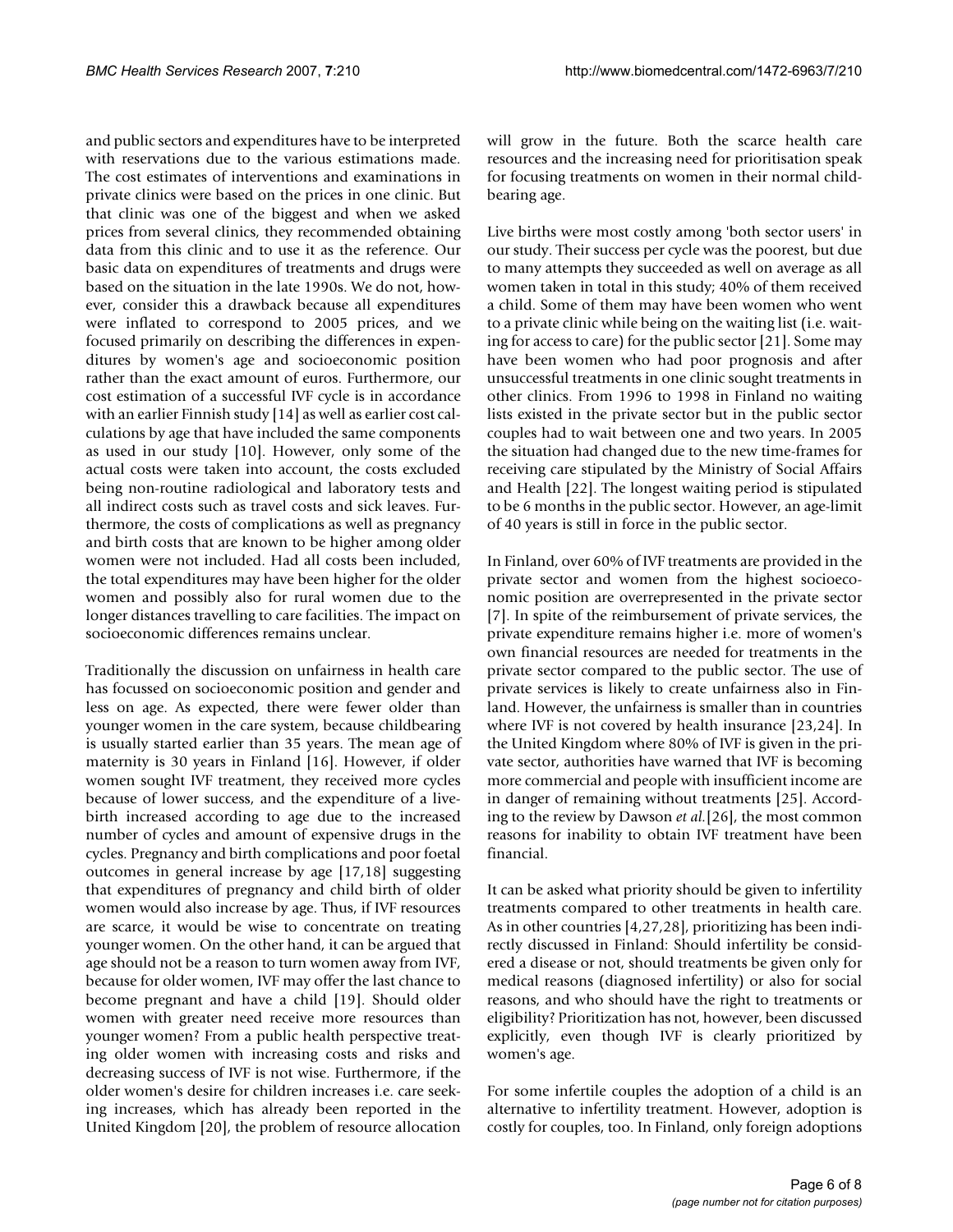and public sectors and expenditures have to be interpreted with reservations due to the various estimations made. The cost estimates of interventions and examinations in private clinics were based on the prices in one clinic. But that clinic was one of the biggest and when we asked prices from several clinics, they recommended obtaining data from this clinic and to use it as the reference. Our basic data on expenditures of treatments and drugs were based on the situation in the late 1990s. We do not, however, consider this a drawback because all expenditures were inflated to correspond to 2005 prices, and we focused primarily on describing the differences in expenditures by women's age and socioeconomic position rather than the exact amount of euros. Furthermore, our cost estimation of a successful IVF cycle is in accordance with an earlier Finnish study [14] as well as earlier cost calculations by age that have included the same components as used in our study [10]. However, only some of the actual costs were taken into account, the costs excluded being non-routine radiological and laboratory tests and all indirect costs such as travel costs and sick leaves. Furthermore, the costs of complications as well as pregnancy and birth costs that are known to be higher among older women were not included. Had all costs been included, the total expenditures may have been higher for the older women and possibly also for rural women due to the longer distances travelling to care facilities. The impact on socioeconomic differences remains unclear.

Traditionally the discussion on unfairness in health care has focussed on socioeconomic position and gender and less on age. As expected, there were fewer older than younger women in the care system, because childbearing is usually started earlier than 35 years. The mean age of maternity is 30 years in Finland [16]. However, if older women sought IVF treatment, they received more cycles because of lower success, and the expenditure of a livebirth increased according to age due to the increased number of cycles and amount of expensive drugs in the cycles. Pregnancy and birth complications and poor foetal outcomes in general increase by age [17,18] suggesting that expenditures of pregnancy and child birth of older women would also increase by age. Thus, if IVF resources are scarce, it would be wise to concentrate on treating younger women. On the other hand, it can be argued that age should not be a reason to turn women away from IVF, because for older women, IVF may offer the last chance to become pregnant and have a child [19]. Should older women with greater need receive more resources than younger women? From a public health perspective treating older women with increasing costs and risks and decreasing success of IVF is not wise. Furthermore, if the older women's desire for children increases i.e. care seeking increases, which has already been reported in the United Kingdom [20], the problem of resource allocation

will grow in the future. Both the scarce health care resources and the increasing need for prioritisation speak for focusing treatments on women in their normal childbearing age.

Live births were most costly among 'both sector users' in our study. Their success per cycle was the poorest, but due to many attempts they succeeded as well on average as all women taken in total in this study; 40% of them received a child. Some of them may have been women who went to a private clinic while being on the waiting list (i.e. waiting for access to care) for the public sector [21]. Some may have been women who had poor prognosis and after unsuccessful treatments in one clinic sought treatments in other clinics. From 1996 to 1998 in Finland no waiting lists existed in the private sector but in the public sector couples had to wait between one and two years. In 2005 the situation had changed due to the new time-frames for receiving care stipulated by the Ministry of Social Affairs and Health [22]. The longest waiting period is stipulated to be 6 months in the public sector. However, an age-limit of 40 years is still in force in the public sector.

In Finland, over 60% of IVF treatments are provided in the private sector and women from the highest socioeconomic position are overrepresented in the private sector [7]. In spite of the reimbursement of private services, the private expenditure remains higher i.e. more of women's own financial resources are needed for treatments in the private sector compared to the public sector. The use of private services is likely to create unfairness also in Finland. However, the unfairness is smaller than in countries where IVF is not covered by health insurance [23,24]. In the United Kingdom where 80% of IVF is given in the private sector, authorities have warned that IVF is becoming more commercial and people with insufficient income are in danger of remaining without treatments [25]. According to the review by Dawson *et al.*[26], the most common reasons for inability to obtain IVF treatment have been financial.

It can be asked what priority should be given to infertility treatments compared to other treatments in health care. As in other countries [4,27,28], prioritizing has been indirectly discussed in Finland: Should infertility be considered a disease or not, should treatments be given only for medical reasons (diagnosed infertility) or also for social reasons, and who should have the right to treatments or eligibility? Prioritization has not, however, been discussed explicitly, even though IVF is clearly prioritized by women's age.

For some infertile couples the adoption of a child is an alternative to infertility treatment. However, adoption is costly for couples, too. In Finland, only foreign adoptions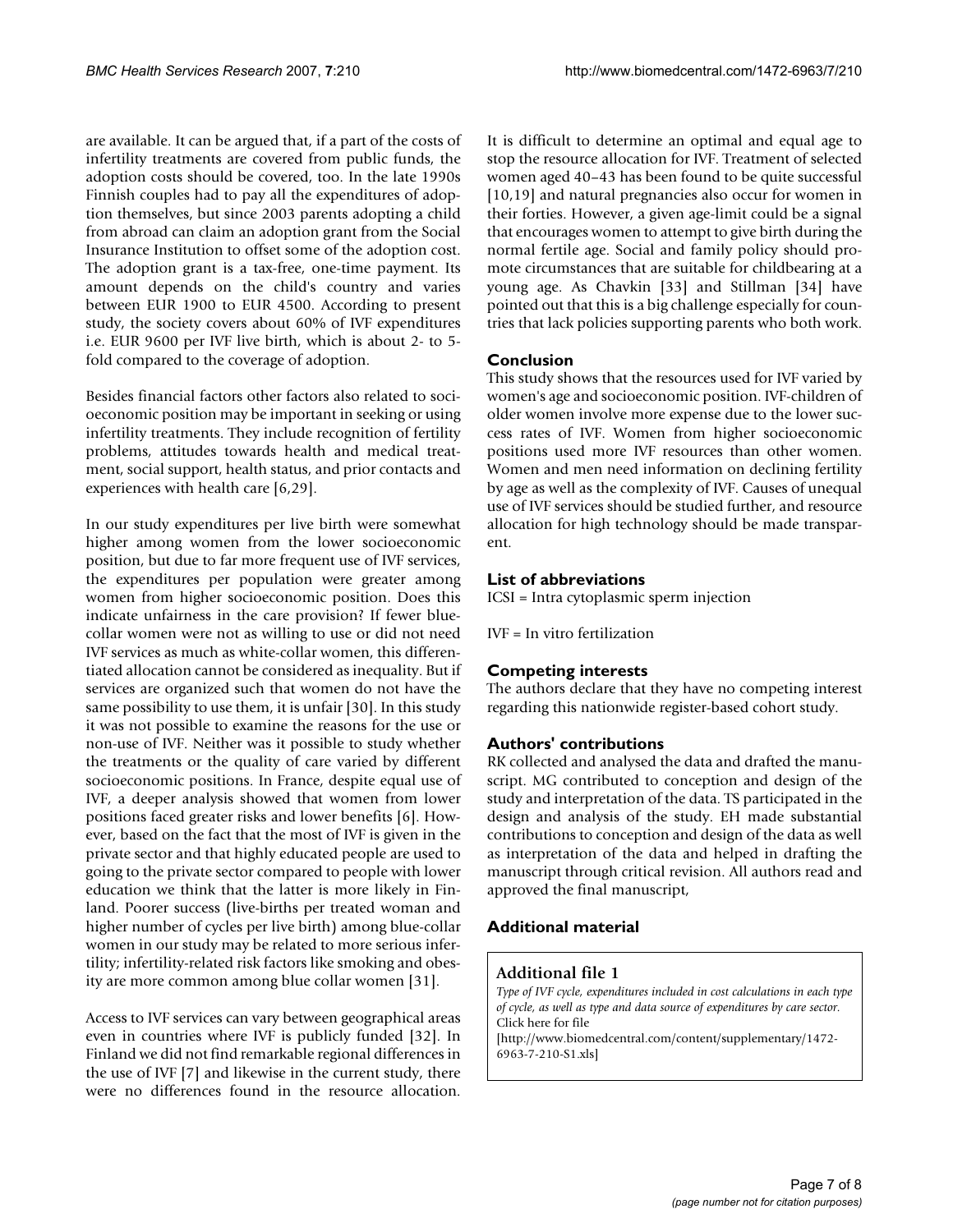are available. It can be argued that, if a part of the costs of infertility treatments are covered from public funds, the adoption costs should be covered, too. In the late 1990s Finnish couples had to pay all the expenditures of adoption themselves, but since 2003 parents adopting a child from abroad can claim an adoption grant from the Social Insurance Institution to offset some of the adoption cost. The adoption grant is a tax-free, one-time payment. Its amount depends on the child's country and varies between EUR 1900 to EUR 4500. According to present study, the society covers about 60% of IVF expenditures i.e. EUR 9600 per IVF live birth, which is about 2- to 5 fold compared to the coverage of adoption.

Besides financial factors other factors also related to socioeconomic position may be important in seeking or using infertility treatments. They include recognition of fertility problems, attitudes towards health and medical treatment, social support, health status, and prior contacts and experiences with health care [6,29].

In our study expenditures per live birth were somewhat higher among women from the lower socioeconomic position, but due to far more frequent use of IVF services, the expenditures per population were greater among women from higher socioeconomic position. Does this indicate unfairness in the care provision? If fewer bluecollar women were not as willing to use or did not need IVF services as much as white-collar women, this differentiated allocation cannot be considered as inequality. But if services are organized such that women do not have the same possibility to use them, it is unfair [30]. In this study it was not possible to examine the reasons for the use or non-use of IVF. Neither was it possible to study whether the treatments or the quality of care varied by different socioeconomic positions. In France, despite equal use of IVF, a deeper analysis showed that women from lower positions faced greater risks and lower benefits [6]. However, based on the fact that the most of IVF is given in the private sector and that highly educated people are used to going to the private sector compared to people with lower education we think that the latter is more likely in Finland. Poorer success (live-births per treated woman and higher number of cycles per live birth) among blue-collar women in our study may be related to more serious infertility; infertility-related risk factors like smoking and obesity are more common among blue collar women [31].

Access to IVF services can vary between geographical areas even in countries where IVF is publicly funded [32]. In Finland we did not find remarkable regional differences in the use of IVF [7] and likewise in the current study, there were no differences found in the resource allocation. It is difficult to determine an optimal and equal age to stop the resource allocation for IVF. Treatment of selected women aged 40–43 has been found to be quite successful [10,19] and natural pregnancies also occur for women in their forties. However, a given age-limit could be a signal that encourages women to attempt to give birth during the normal fertile age. Social and family policy should promote circumstances that are suitable for childbearing at a young age. As Chavkin [33] and Stillman [34] have pointed out that this is a big challenge especially for countries that lack policies supporting parents who both work.

# **Conclusion**

This study shows that the resources used for IVF varied by women's age and socioeconomic position. IVF-children of older women involve more expense due to the lower success rates of IVF. Women from higher socioeconomic positions used more IVF resources than other women. Women and men need information on declining fertility by age as well as the complexity of IVF. Causes of unequal use of IVF services should be studied further, and resource allocation for high technology should be made transparent.

# **List of abbreviations**

ICSI = Intra cytoplasmic sperm injection

IVF = In vitro fertilization

### **Competing interests**

The authors declare that they have no competing interest regarding this nationwide register-based cohort study.

### **Authors' contributions**

RK collected and analysed the data and drafted the manuscript. MG contributed to conception and design of the study and interpretation of the data. TS participated in the design and analysis of the study. EH made substantial contributions to conception and design of the data as well as interpretation of the data and helped in drafting the manuscript through critical revision. All authors read and approved the final manuscript,

# **Additional material**

### **Additional file 1**

*Type of IVF cycle, expenditures included in cost calculations in each type of cycle, as well as type and data source of expenditures by care sector.* Click here for file [\[http://www.biomedcentral.com/content/supplementary/1472-](http://www.biomedcentral.com/content/supplementary/1472-6963-7-210-S1.xls) 6963-7-210-S1.xls]